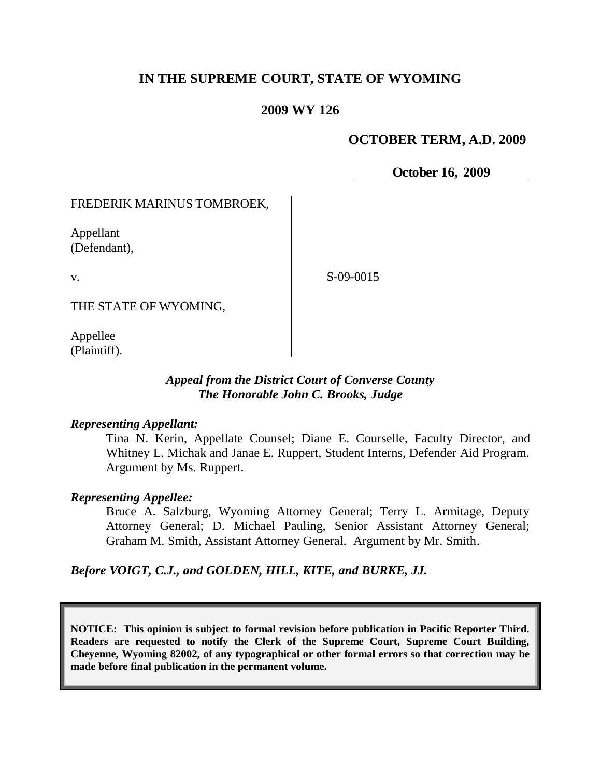# **IN THE SUPREME COURT, STATE OF WYOMING**

### **2009 WY 126**

### **OCTOBER TERM, A.D. 2009**

**October 16, 2009**

#### FREDERIK MARINUS TOMBROEK,

Appellant (Defendant),

v.

S-09-0015

THE STATE OF WYOMING,

Appellee (Plaintiff).

### *Appeal from the District Court of Converse County The Honorable John C. Brooks, Judge*

#### *Representing Appellant:*

Tina N. Kerin, Appellate Counsel; Diane E. Courselle, Faculty Director, and Whitney L. Michak and Janae E. Ruppert, Student Interns, Defender Aid Program. Argument by Ms. Ruppert.

#### *Representing Appellee:*

Bruce A. Salzburg, Wyoming Attorney General; Terry L. Armitage, Deputy Attorney General; D. Michael Pauling, Senior Assistant Attorney General; Graham M. Smith, Assistant Attorney General. Argument by Mr. Smith.

*Before VOIGT, C.J., and GOLDEN, HILL, KITE, and BURKE, JJ.*

**NOTICE: This opinion is subject to formal revision before publication in Pacific Reporter Third. Readers are requested to notify the Clerk of the Supreme Court, Supreme Court Building, Cheyenne, Wyoming 82002, of any typographical or other formal errors so that correction may be made before final publication in the permanent volume.**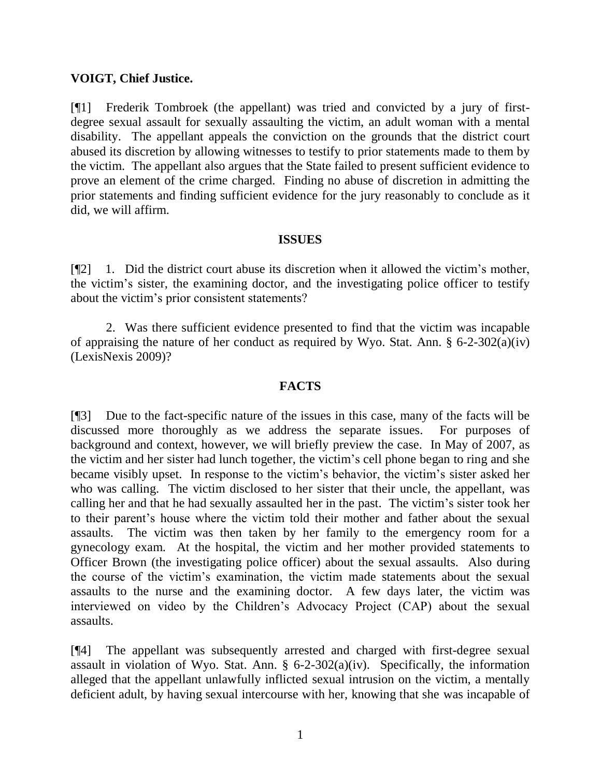#### **VOIGT, Chief Justice.**

[¶1] Frederik Tombroek (the appellant) was tried and convicted by a jury of firstdegree sexual assault for sexually assaulting the victim, an adult woman with a mental disability. The appellant appeals the conviction on the grounds that the district court abused its discretion by allowing witnesses to testify to prior statements made to them by the victim. The appellant also argues that the State failed to present sufficient evidence to prove an element of the crime charged. Finding no abuse of discretion in admitting the prior statements and finding sufficient evidence for the jury reasonably to conclude as it did, we will affirm.

#### **ISSUES**

[¶2] 1. Did the district court abuse its discretion when it allowed the victim"s mother, the victim"s sister, the examining doctor, and the investigating police officer to testify about the victim"s prior consistent statements?

2. Was there sufficient evidence presented to find that the victim was incapable of appraising the nature of her conduct as required by Wyo. Stat. Ann. § 6-2-302(a)(iv) (LexisNexis 2009)?

## **FACTS**

[¶3] Due to the fact-specific nature of the issues in this case, many of the facts will be discussed more thoroughly as we address the separate issues. For purposes of background and context, however, we will briefly preview the case. In May of 2007, as the victim and her sister had lunch together, the victim"s cell phone began to ring and she became visibly upset. In response to the victim"s behavior, the victim"s sister asked her who was calling. The victim disclosed to her sister that their uncle, the appellant, was calling her and that he had sexually assaulted her in the past. The victim"s sister took her to their parent"s house where the victim told their mother and father about the sexual assaults. The victim was then taken by her family to the emergency room for a gynecology exam. At the hospital, the victim and her mother provided statements to Officer Brown (the investigating police officer) about the sexual assaults. Also during the course of the victim"s examination, the victim made statements about the sexual assaults to the nurse and the examining doctor. A few days later, the victim was interviewed on video by the Children"s Advocacy Project (CAP) about the sexual assaults.

[¶4] The appellant was subsequently arrested and charged with first-degree sexual assault in violation of Wyo. Stat. Ann.  $\S$  6-2-302(a)(iv). Specifically, the information alleged that the appellant unlawfully inflicted sexual intrusion on the victim, a mentally deficient adult, by having sexual intercourse with her, knowing that she was incapable of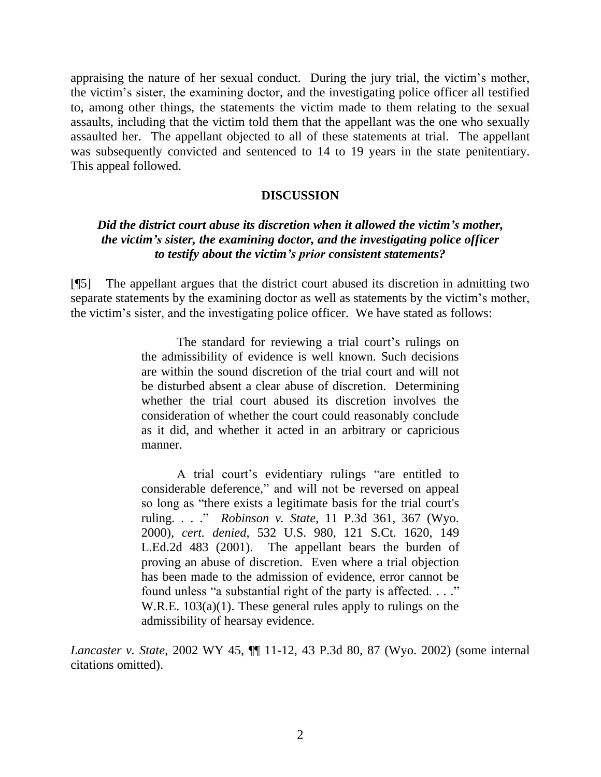appraising the nature of her sexual conduct. During the jury trial, the victim"s mother, the victim"s sister, the examining doctor, and the investigating police officer all testified to, among other things, the statements the victim made to them relating to the sexual assaults, including that the victim told them that the appellant was the one who sexually assaulted her. The appellant objected to all of these statements at trial. The appellant was subsequently convicted and sentenced to 14 to 19 years in the state penitentiary. This appeal followed.

#### **DISCUSSION**

## *Did the district court abuse its discretion when it allowed the victim's mother, the victim's sister, the examining doctor, and the investigating police officer to testify about the victim's prior consistent statements?*

[¶5] The appellant argues that the district court abused its discretion in admitting two separate statements by the examining doctor as well as statements by the victim"s mother, the victim"s sister, and the investigating police officer. We have stated as follows:

> The standard for reviewing a trial court's rulings on the admissibility of evidence is well known. Such decisions are within the sound discretion of the trial court and will not be disturbed absent a clear abuse of discretion. Determining whether the trial court abused its discretion involves the consideration of whether the court could reasonably conclude as it did, and whether it acted in an arbitrary or capricious manner.

> A trial court"s evidentiary rulings "are entitled to considerable deference," and will not be reversed on appeal so long as "there exists a legitimate basis for the trial court's ruling. . . ." *Robinson v. State*, 11 P.3d 361, 367 (Wyo. 2000), *cert. denied*, [532 U.S. 980, 121 S.Ct. 1620, 149](http://web2.westlaw.com/find/default.wl?tc=-1&serialnum=2001175812&ifm=NotSet&rp=%2ffind%2fdefault.wl&sv=Split&utid=1&rs=WLW9.08&db=708&tf=-1&findtype=Y&fn=_top&mt=Wyoming&vr=2.0&pbc=EC06D583&ordoc=2002211920)  [L.Ed.2d 483 \(2001\).](http://web2.westlaw.com/find/default.wl?tc=-1&serialnum=2001175812&ifm=NotSet&rp=%2ffind%2fdefault.wl&sv=Split&utid=1&rs=WLW9.08&db=708&tf=-1&findtype=Y&fn=_top&mt=Wyoming&vr=2.0&pbc=EC06D583&ordoc=2002211920) The appellant bears the burden of proving an abuse of discretion. Even where a trial objection has been made to the admission of evidence, error cannot be found unless "a substantial right of the party is affected. . . ." [W.R.E. 103\(a\)\(1\).](http://web2.westlaw.com/find/default.wl?tc=-1&docname=WYRREVR103&ifm=NotSet&rp=%2ffind%2fdefault.wl&sv=Split&utid=1&rs=WLW9.08&db=1006377&tf=-1&findtype=L&fn=_top&mt=Wyoming&vr=2.0&pbc=EC06D583&ordoc=2002211920) These general rules apply to rulings on the admissibility of hearsay evidence.

*Lancaster v. State*, 2002 WY 45, ¶¶ 11-12, 43 P.3d 80, 87 (Wyo. 2002) (some internal citations omitted).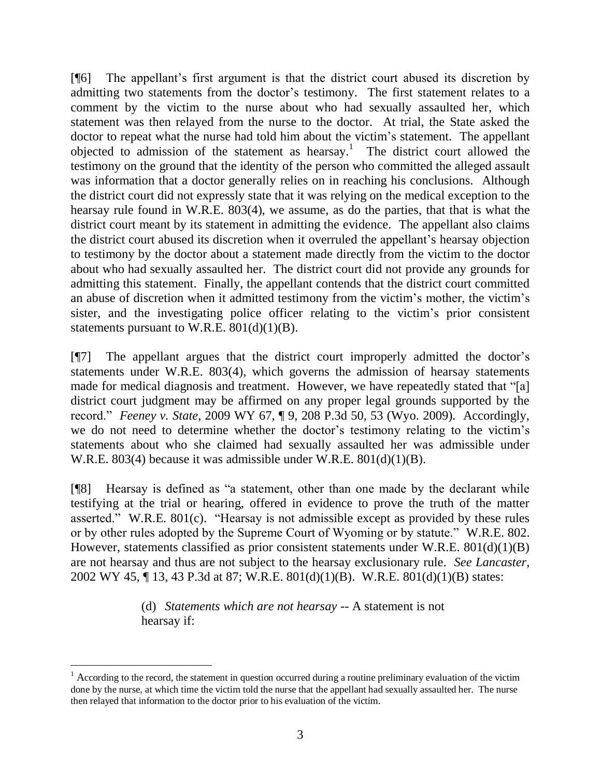[¶6] The appellant"s first argument is that the district court abused its discretion by admitting two statements from the doctor's testimony. The first statement relates to a comment by the victim to the nurse about who had sexually assaulted her, which statement was then relayed from the nurse to the doctor. At trial, the State asked the doctor to repeat what the nurse had told him about the victim's statement. The appellant objected to admission of the statement as hearsay.<sup>1</sup> The district court allowed the testimony on the ground that the identity of the person who committed the alleged assault was information that a doctor generally relies on in reaching his conclusions. Although the district court did not expressly state that it was relying on the medical exception to the hearsay rule found in W.R.E. 803(4), we assume, as do the parties, that that is what the district court meant by its statement in admitting the evidence. The appellant also claims the district court abused its discretion when it overruled the appellant"s hearsay objection to testimony by the doctor about a statement made directly from the victim to the doctor about who had sexually assaulted her. The district court did not provide any grounds for admitting this statement. Finally, the appellant contends that the district court committed an abuse of discretion when it admitted testimony from the victim"s mother, the victim"s sister, and the investigating police officer relating to the victim"s prior consistent statements pursuant to W.R.E.  $801(d)(1)(B)$ .

[¶7] The appellant argues that the district court improperly admitted the doctor"s statements under W.R.E. 803(4), which governs the admission of hearsay statements made for medical diagnosis and treatment. However, we have repeatedly stated that "[a] district court judgment may be affirmed on any proper legal grounds supported by the record." *Feeney v. State*, 2009 WY 67, ¶ 9, 208 P.3d 50, 53 (Wyo. 2009). Accordingly, we do not need to determine whether the doctor's testimony relating to the victim's statements about who she claimed had sexually assaulted her was admissible under W.R.E. 803(4) because it was admissible under W.R.E. 801(d)(1)(B).

[¶8] Hearsay is defined as "a statement, other than one made by the declarant while testifying at the trial or hearing, offered in evidence to prove the truth of the matter asserted." W.R.E. 801(c). "Hearsay is not admissible except as provided by these rules or by other rules adopted by the Supreme Court of Wyoming or by statute." W.R.E. 802. However, statements classified as prior consistent statements under W.R.E. 801(d)(1)(B) are not hearsay and thus are not subject to the hearsay exclusionary rule. *See Lancaster*, 2002 WY 45, ¶ 13, 43 P.3d at 87; W.R.E. 801(d)(1)(B). W.R.E. 801(d)(1)(B) states:

> (d) *Statements which are not hearsay* -- A statement is not hearsay if:

 $\overline{a}$ 

 $1<sup>1</sup>$  According to the record, the statement in question occurred during a routine preliminary evaluation of the victim done by the nurse, at which time the victim told the nurse that the appellant had sexually assaulted her. The nurse then relayed that information to the doctor prior to his evaluation of the victim.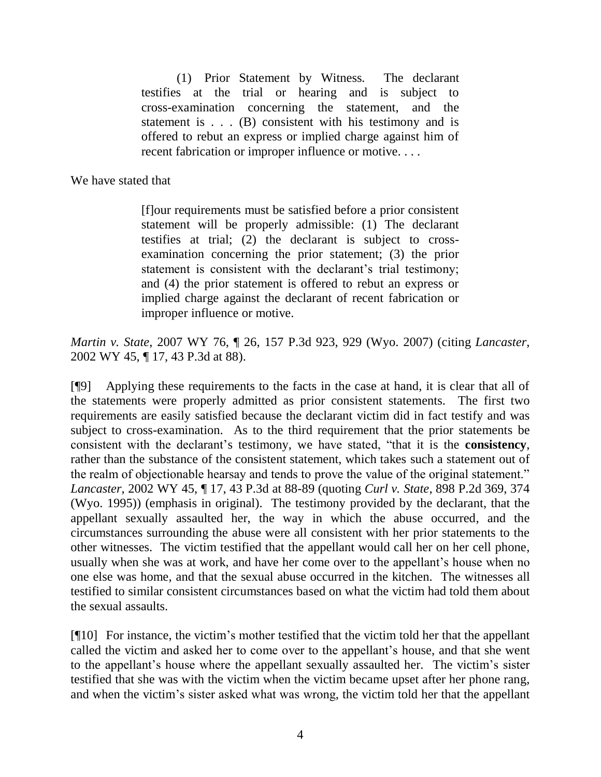(1) Prior Statement by Witness*.* The declarant testifies at the trial or hearing and is subject to cross-examination concerning the statement, and the statement is . . . (B) consistent with his testimony and is offered to rebut an express or implied charge against him of recent fabrication or improper influence or motive. . . .

We have stated that

[f]our requirements must be satisfied before a prior consistent statement will be properly admissible: (1) The declarant testifies at trial; (2) the declarant is subject to crossexamination concerning the prior statement; (3) the prior statement is consistent with the declarant's trial testimony; and (4) the prior statement is offered to rebut an express or implied charge against the declarant of recent fabrication or improper influence or motive.

*Martin v. State*, 2007 WY 76, ¶ 26, 157 P.3d 923, 929 (Wyo. 2007) (citing *Lancaster*, 2002 WY 45, ¶ 17, 43 P.3d at 88).

[¶9] Applying these requirements to the facts in the case at hand, it is clear that all of the statements were properly admitted as prior consistent statements. The first two requirements are easily satisfied because the declarant victim did in fact testify and was subject to cross-examination. As to the third requirement that the prior statements be consistent with the declarant"s testimony, we have stated, "that it is the **consistency**, rather than the substance of the consistent statement, which takes such a statement out of the realm of objectionable hearsay and tends to prove the value of the original statement." *Lancaster*, 2002 WY 45, ¶ 17, 43 P.3d at 88-89 (quoting *Curl v. State*, 898 P.2d 369, 374 (Wyo. 1995)) (emphasis in original). The testimony provided by the declarant, that the appellant sexually assaulted her, the way in which the abuse occurred, and the circumstances surrounding the abuse were all consistent with her prior statements to the other witnesses. The victim testified that the appellant would call her on her cell phone, usually when she was at work, and have her come over to the appellant"s house when no one else was home, and that the sexual abuse occurred in the kitchen. The witnesses all testified to similar consistent circumstances based on what the victim had told them about the sexual assaults.

[¶10] For instance, the victim"s mother testified that the victim told her that the appellant called the victim and asked her to come over to the appellant"s house, and that she went to the appellant"s house where the appellant sexually assaulted her. The victim"s sister testified that she was with the victim when the victim became upset after her phone rang, and when the victim"s sister asked what was wrong, the victim told her that the appellant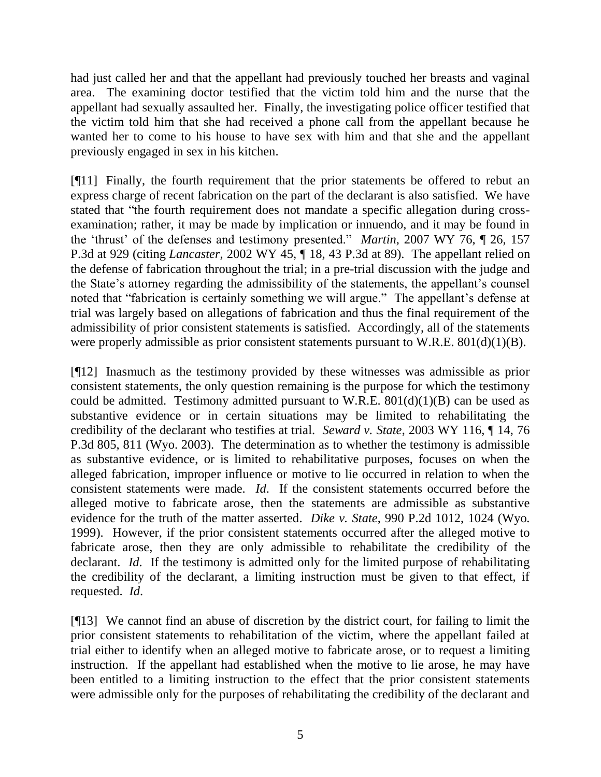had just called her and that the appellant had previously touched her breasts and vaginal area. The examining doctor testified that the victim told him and the nurse that the appellant had sexually assaulted her. Finally, the investigating police officer testified that the victim told him that she had received a phone call from the appellant because he wanted her to come to his house to have sex with him and that she and the appellant previously engaged in sex in his kitchen.

[¶11] Finally, the fourth requirement that the prior statements be offered to rebut an express charge of recent fabrication on the part of the declarant is also satisfied. We have stated that "the fourth requirement does not mandate a specific allegation during crossexamination; rather, it may be made by implication or innuendo, and it may be found in the "thrust" of the defenses and testimony presented." *Martin*, 2007 WY 76, ¶ 26, 157 P.3d at 929 (citing *Lancaster*, 2002 WY 45, ¶ 18, 43 P.3d at 89). The appellant relied on the defense of fabrication throughout the trial; in a pre-trial discussion with the judge and the State"s attorney regarding the admissibility of the statements, the appellant"s counsel noted that "fabrication is certainly something we will argue." The appellant's defense at trial was largely based on allegations of fabrication and thus the final requirement of the admissibility of prior consistent statements is satisfied. Accordingly, all of the statements were properly admissible as prior consistent statements pursuant to W.R.E.  $801(d)(1)(B)$ .

[¶12] Inasmuch as the testimony provided by these witnesses was admissible as prior consistent statements, the only question remaining is the purpose for which the testimony could be admitted. Testimony admitted pursuant to W.R.E.  $801(d)(1)(B)$  can be used as substantive evidence or in certain situations may be limited to rehabilitating the credibility of the declarant who testifies at trial. *Seward v. State*, 2003 WY 116, ¶ 14, 76 P.3d 805, 811 (Wyo. 2003). The determination as to whether the testimony is admissible as substantive evidence, or is limited to rehabilitative purposes, focuses on when the alleged fabrication, improper influence or motive to lie occurred in relation to when the consistent statements were made. *Id*. If the consistent statements occurred before the alleged motive to fabricate arose, then the statements are admissible as substantive evidence for the truth of the matter asserted. *Dike v. State*, 990 P.2d 1012, 1024 (Wyo. 1999). However, if the prior consistent statements occurred after the alleged motive to fabricate arose, then they are only admissible to rehabilitate the credibility of the declarant. *Id*. If the testimony is admitted only for the limited purpose of rehabilitating the credibility of the declarant, a limiting instruction must be given to that effect, if requested. *Id*.

[¶13] We cannot find an abuse of discretion by the district court, for failing to limit the prior consistent statements to rehabilitation of the victim, where the appellant failed at trial either to identify when an alleged motive to fabricate arose, or to request a limiting instruction. If the appellant had established when the motive to lie arose, he may have been entitled to a limiting instruction to the effect that the prior consistent statements were admissible only for the purposes of rehabilitating the credibility of the declarant and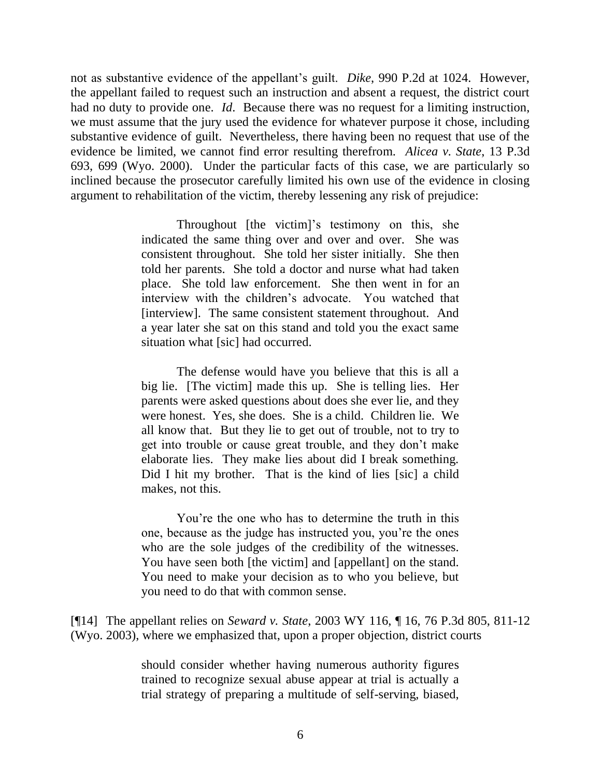not as substantive evidence of the appellant's guilt. *Dike*, 990 P.2d at 1024. However, the appellant failed to request such an instruction and absent a request, the district court had no duty to provide one. *Id*. Because there was no request for a limiting instruction, we must assume that the jury used the evidence for whatever purpose it chose, including substantive evidence of guilt. Nevertheless, there having been no request that use of the evidence be limited, we cannot find error resulting therefrom. *Alicea v. State*, 13 P.3d 693, 699 (Wyo. 2000). Under the particular facts of this case, we are particularly so inclined because the prosecutor carefully limited his own use of the evidence in closing argument to rehabilitation of the victim, thereby lessening any risk of prejudice:

> Throughout [the victim]'s testimony on this, she indicated the same thing over and over and over. She was consistent throughout. She told her sister initially. She then told her parents. She told a doctor and nurse what had taken place. She told law enforcement. She then went in for an interview with the children"s advocate. You watched that [interview]. The same consistent statement throughout. And a year later she sat on this stand and told you the exact same situation what [sic] had occurred.

> The defense would have you believe that this is all a big lie. [The victim] made this up. She is telling lies. Her parents were asked questions about does she ever lie, and they were honest. Yes, she does. She is a child. Children lie. We all know that. But they lie to get out of trouble, not to try to get into trouble or cause great trouble, and they don"t make elaborate lies. They make lies about did I break something. Did I hit my brother. That is the kind of lies [sic] a child makes, not this.

> You"re the one who has to determine the truth in this one, because as the judge has instructed you, you"re the ones who are the sole judges of the credibility of the witnesses. You have seen both [the victim] and [appellant] on the stand. You need to make your decision as to who you believe, but you need to do that with common sense.

[¶14] The appellant relies on *Seward v. State*, 2003 WY 116, ¶ 16, 76 P.3d 805, 811-12 (Wyo. 2003), where we emphasized that, upon a proper objection, district courts

> should consider whether having numerous authority figures trained to recognize sexual abuse appear at trial is actually a trial strategy of preparing a multitude of self-serving, biased,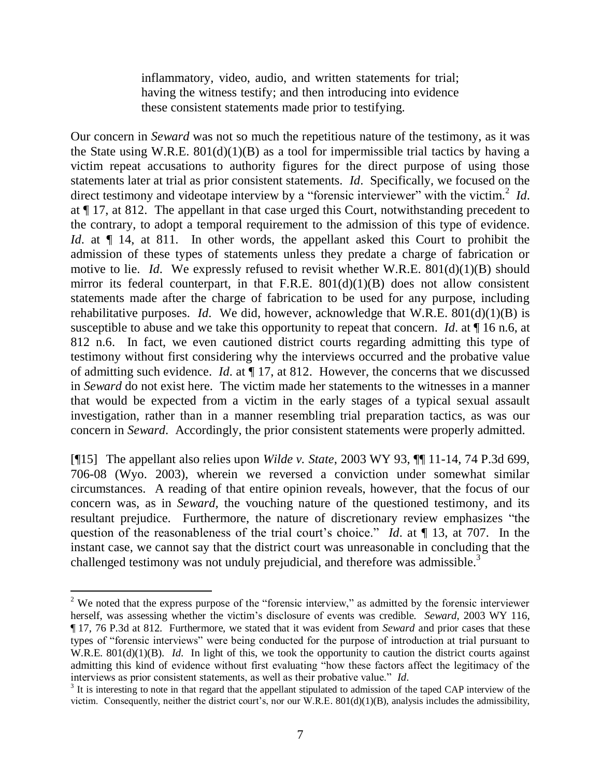inflammatory, video, audio, and written statements for trial; having the witness testify; and then introducing into evidence these consistent statements made prior to testifying.

Our concern in *Seward* was not so much the repetitious nature of the testimony, as it was the State using W.R.E.  $801(d)(1)(B)$  as a tool for impermissible trial tactics by having a victim repeat accusations to authority figures for the direct purpose of using those statements later at trial as prior consistent statements. *Id*. Specifically, we focused on the direct testimony and videotape interview by a "forensic interviewer" with the victim.<sup>2</sup> Id. at ¶ 17, at 812. The appellant in that case urged this Court, notwithstanding precedent to the contrary, to adopt a temporal requirement to the admission of this type of evidence. *Id*. at  $\P$  14, at 811. In other words, the appellant asked this Court to prohibit the admission of these types of statements unless they predate a charge of fabrication or motive to lie. *Id*. We expressly refused to revisit whether W.R.E. 801(d)(1)(B) should mirror its federal counterpart, in that F.R.E.  $801(d)(1)(B)$  does not allow consistent statements made after the charge of fabrication to be used for any purpose, including rehabilitative purposes. *Id*. We did, however, acknowledge that W.R.E. 801(d)(1)(B) is susceptible to abuse and we take this opportunity to repeat that concern. *Id*. at ¶ 16 n.6, at 812 n.6. In fact, we even cautioned district courts regarding admitting this type of testimony without first considering why the interviews occurred and the probative value of admitting such evidence. *Id*. at ¶ 17, at 812. However, the concerns that we discussed in *Seward* do not exist here. The victim made her statements to the witnesses in a manner that would be expected from a victim in the early stages of a typical sexual assault investigation, rather than in a manner resembling trial preparation tactics, as was our concern in *Seward*. Accordingly, the prior consistent statements were properly admitted.

[¶15] The appellant also relies upon *Wilde v. State*, 2003 WY 93, ¶¶ 11-14, 74 P.3d 699, 706-08 (Wyo. 2003), wherein we reversed a conviction under somewhat similar circumstances. A reading of that entire opinion reveals, however, that the focus of our concern was, as in *Seward,* the vouching nature of the questioned testimony, and its resultant prejudice. Furthermore, the nature of discretionary review emphasizes "the question of the reasonableness of the trial court's choice." *Id*. at  $\P$  13, at 707. In the instant case, we cannot say that the district court was unreasonable in concluding that the challenged testimony was not unduly prejudicial, and therefore was admissible.<sup>3</sup>

 $\overline{a}$ 

 $2$  We noted that the express purpose of the "forensic interview," as admitted by the forensic interviewer herself, was assessing whether the victim"s disclosure of events was credible. *Seward*, 2003 WY 116, ¶ 17, 76 P.3d at 812. Furthermore, we stated that it was evident from *Seward* and prior cases that these types of "forensic interviews" were being conducted for the purpose of introduction at trial pursuant to W.R.E. 801(d)(1)(B). *Id*. In light of this, we took the opportunity to caution the district courts against admitting this kind of evidence without first evaluating "how these factors affect the legitimacy of the interviews as prior consistent statements, as well as their probative value." *Id*.

 $3$  It is interesting to note in that regard that the appellant stipulated to admission of the taped CAP interview of the victim. Consequently, neither the district court's, nor our W.R.E.  $801(d)(1)(B)$ , analysis includes the admissibility,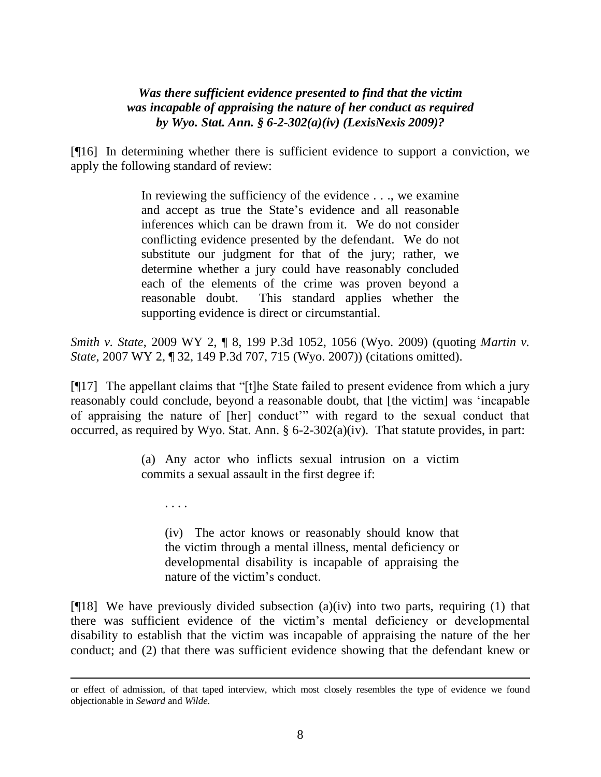## *Was there sufficient evidence presented to find that the victim was incapable of appraising the nature of her conduct as required by Wyo. Stat. Ann. § 6-2-302(a)(iv) (LexisNexis 2009)?*

[¶16] In determining whether there is sufficient evidence to support a conviction, we apply the following standard of review:

> In reviewing the sufficiency of the evidence . . ., we examine and accept as true the State"s evidence and all reasonable inferences which can be drawn from it. We do not consider conflicting evidence presented by the defendant. We do not substitute our judgment for that of the jury; rather, we determine whether a jury could have reasonably concluded each of the elements of the crime was proven beyond a reasonable doubt. This standard applies whether the supporting evidence is direct or circumstantial.

*Smith v. State*, 2009 WY 2, ¶ 8, 199 P.3d 1052, 1056 (Wyo. 2009) (quoting *Martin v. State*, 2007 WY 2, ¶ 32, 149 P.3d 707, 715 (Wyo. 2007)) (citations omitted).

[¶17] The appellant claims that "[t]he State failed to present evidence from which a jury reasonably could conclude, beyond a reasonable doubt, that [the victim] was "incapable of appraising the nature of [her] conduct"" with regard to the sexual conduct that occurred, as required by Wyo. Stat. Ann.  $\S 6$ -2-302(a)(iv). That statute provides, in part:

> (a) Any actor who inflicts sexual intrusion on a victim commits a sexual assault in the first degree if:

. . . .

 $\overline{a}$ 

(iv) The actor knows or reasonably should know that the victim through a mental illness, mental deficiency or developmental disability is incapable of appraising the nature of the victim's conduct.

 $[$ [[18] We have previously divided subsection (a)(iv) into two parts, requiring (1) that there was sufficient evidence of the victim"s mental deficiency or developmental disability to establish that the victim was incapable of appraising the nature of the her conduct; and (2) that there was sufficient evidence showing that the defendant knew or

or effect of admission, of that taped interview, which most closely resembles the type of evidence we found objectionable in *Seward* and *Wilde*.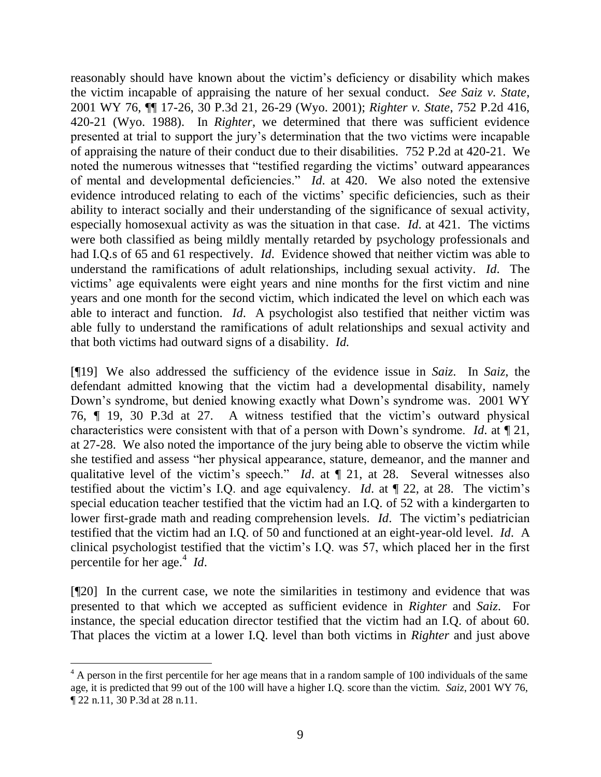reasonably should have known about the victim"s deficiency or disability which makes the victim incapable of appraising the nature of her sexual conduct. *See Saiz v. State*, 2001 WY 76, ¶¶ 17-26, 30 P.3d 21, 26-29 (Wyo. 2001); *Righter v. State*, 752 P.2d 416, 420-21 (Wyo. 1988). In *Righter*, we determined that there was sufficient evidence presented at trial to support the jury"s determination that the two victims were incapable of appraising the nature of their conduct due to their disabilities. 752 P.2d at 420-21. We noted the numerous witnesses that "testified regarding the victims' outward appearances of mental and developmental deficiencies." *Id*. at 420. We also noted the extensive evidence introduced relating to each of the victims" specific deficiencies, such as their ability to interact socially and their understanding of the significance of sexual activity, especially homosexual activity as was the situation in that case. *Id*. at 421. The victims were both classified as being mildly mentally retarded by psychology professionals and had I.Q.s of 65 and 61 respectively. *Id*. Evidence showed that neither victim was able to understand the ramifications of adult relationships, including sexual activity. *Id*. The victims" age equivalents were eight years and nine months for the first victim and nine years and one month for the second victim, which indicated the level on which each was able to interact and function. *Id*. A psychologist also testified that neither victim was able fully to understand the ramifications of adult relationships and sexual activity and that both victims had outward signs of a disability. *Id*.

[¶19] We also addressed the sufficiency of the evidence issue in *Saiz*. In *Saiz*, the defendant admitted knowing that the victim had a developmental disability, namely Down's syndrome, but denied knowing exactly what Down's syndrome was. 2001 WY 76, ¶ 19, 30 P.3d at 27. A witness testified that the victim"s outward physical characteristics were consistent with that of a person with Down"s syndrome. *Id*. at ¶ 21, at 27-28. We also noted the importance of the jury being able to observe the victim while she testified and assess "her physical appearance, stature, demeanor, and the manner and qualitative level of the victim's speech." *Id.* at  $\P$  21, at 28. Several witnesses also testified about the victim"s I.Q. and age equivalency. *Id*. at ¶ 22, at 28. The victim"s special education teacher testified that the victim had an I.Q. of 52 with a kindergarten to lower first-grade math and reading comprehension levels. *Id*. The victim's pediatrician testified that the victim had an I.Q. of 50 and functioned at an eight-year-old level. *Id*. A clinical psychologist testified that the victim"s I.Q. was 57, which placed her in the first percentile for her age.<sup>4</sup> *Id*.

[¶20] In the current case, we note the similarities in testimony and evidence that was presented to that which we accepted as sufficient evidence in *Righter* and *Saiz*. For instance, the special education director testified that the victim had an I.Q. of about 60. That places the victim at a lower I.Q. level than both victims in *Righter* and just above

 $\overline{a}$ 

 $4 \text{ A person in the first percentile for her age means that in a random sample of 100 individuals of the same$ age, it is predicted that 99 out of the 100 will have a higher I.Q. score than the victim. *Saiz*, 2001 WY 76, ¶ 22 n.11, 30 P.3d at 28 n.11.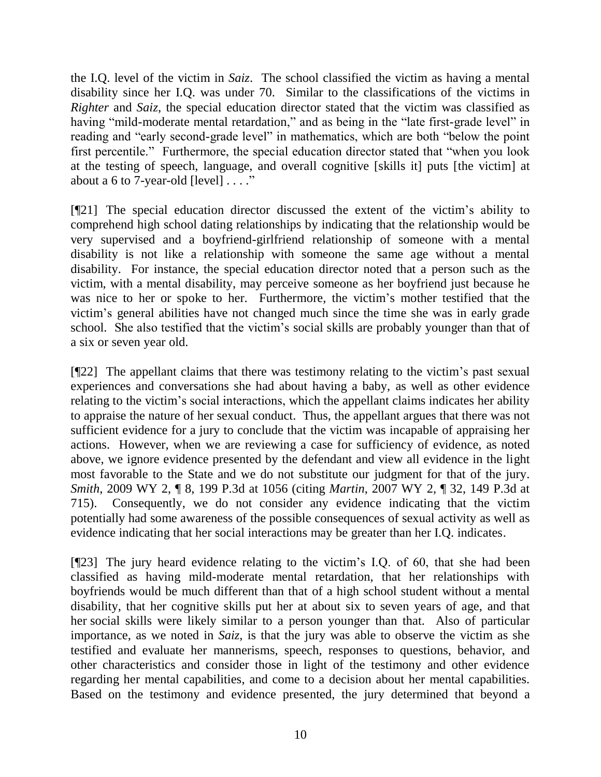the I.Q. level of the victim in *Saiz*. The school classified the victim as having a mental disability since her I.Q. was under 70. Similar to the classifications of the victims in *Righter* and *Saiz*, the special education director stated that the victim was classified as having "mild-moderate mental retardation," and as being in the "late first-grade level" in reading and "early second-grade level" in mathematics, which are both "below the point first percentile." Furthermore, the special education director stated that "when you look at the testing of speech, language, and overall cognitive [skills it] puts [the victim] at about a 6 to 7-year-old [level]  $\dots$ ."

[¶21] The special education director discussed the extent of the victim"s ability to comprehend high school dating relationships by indicating that the relationship would be very supervised and a boyfriend-girlfriend relationship of someone with a mental disability is not like a relationship with someone the same age without a mental disability. For instance, the special education director noted that a person such as the victim, with a mental disability, may perceive someone as her boyfriend just because he was nice to her or spoke to her. Furthermore, the victim's mother testified that the victim"s general abilities have not changed much since the time she was in early grade school. She also testified that the victim's social skills are probably younger than that of a six or seven year old.

[¶22] The appellant claims that there was testimony relating to the victim"s past sexual experiences and conversations she had about having a baby, as well as other evidence relating to the victim"s social interactions, which the appellant claims indicates her ability to appraise the nature of her sexual conduct. Thus, the appellant argues that there was not sufficient evidence for a jury to conclude that the victim was incapable of appraising her actions. However, when we are reviewing a case for sufficiency of evidence, as noted above, we ignore evidence presented by the defendant and view all evidence in the light most favorable to the State and we do not substitute our judgment for that of the jury. *Smith*, 2009 WY 2, ¶ 8, 199 P.3d at 1056 (citing *Martin*, 2007 WY 2, ¶ 32, 149 P.3d at 715). Consequently, we do not consider any evidence indicating that the victim potentially had some awareness of the possible consequences of sexual activity as well as evidence indicating that her social interactions may be greater than her I.Q. indicates.

[¶23] The jury heard evidence relating to the victim"s I.Q. of 60, that she had been classified as having mild-moderate mental retardation, that her relationships with boyfriends would be much different than that of a high school student without a mental disability, that her cognitive skills put her at about six to seven years of age, and that her social skills were likely similar to a person younger than that. Also of particular importance, as we noted in *Saiz*, is that the jury was able to observe the victim as she testified and evaluate her mannerisms, speech, responses to questions, behavior, and other characteristics and consider those in light of the testimony and other evidence regarding her mental capabilities, and come to a decision about her mental capabilities. Based on the testimony and evidence presented, the jury determined that beyond a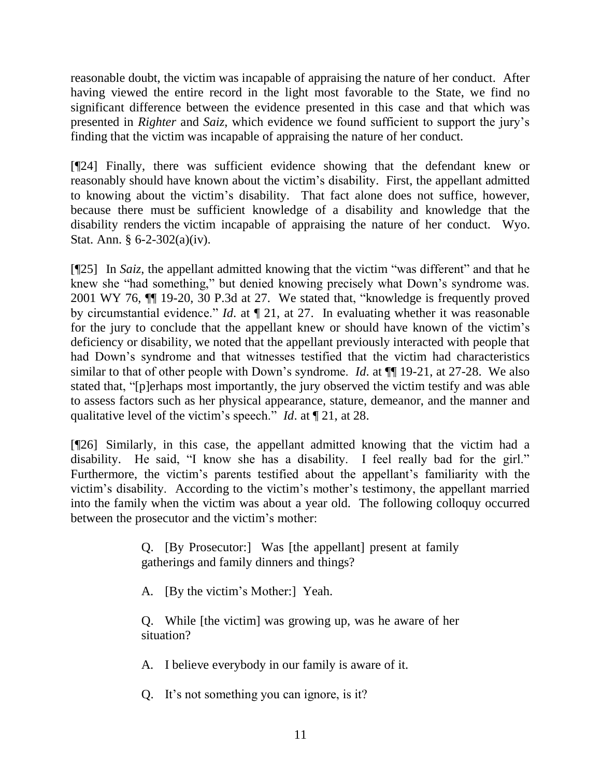reasonable doubt, the victim was incapable of appraising the nature of her conduct. After having viewed the entire record in the light most favorable to the State, we find no significant difference between the evidence presented in this case and that which was presented in *Righter* and *Saiz*, which evidence we found sufficient to support the jury"s finding that the victim was incapable of appraising the nature of her conduct.

[¶24] Finally, there was sufficient evidence showing that the defendant knew or reasonably should have known about the victim"s disability. First, the appellant admitted to knowing about the victim"s disability. That fact alone does not suffice, however, because there must be sufficient knowledge of a disability and knowledge that the disability renders the victim incapable of appraising the nature of her conduct. Wyo. Stat. Ann. § 6-2-302(a)(iv).

[¶25] In *Saiz*, the appellant admitted knowing that the victim "was different" and that he knew she "had something," but denied knowing precisely what Down"s syndrome was. 2001 WY 76, ¶¶ 19-20, 30 P.3d at 27. We stated that, "knowledge is frequently proved by circumstantial evidence." *Id*. at ¶ 21, at 27. In evaluating whether it was reasonable for the jury to conclude that the appellant knew or should have known of the victim"s deficiency or disability, we noted that the appellant previously interacted with people that had Down"s syndrome and that witnesses testified that the victim had characteristics similar to that of other people with Down's syndrome. *Id.* at  $\P$  19-21, at 27-28. We also stated that, "[p]erhaps most importantly, the jury observed the victim testify and was able to assess factors such as her physical appearance, stature, demeanor, and the manner and qualitative level of the victim"s speech." *Id*. at ¶ 21, at 28.

[¶26] Similarly, in this case, the appellant admitted knowing that the victim had a disability. He said, "I know she has a disability. I feel really bad for the girl." Furthermore, the victim's parents testified about the appellant's familiarity with the victim"s disability. According to the victim"s mother"s testimony, the appellant married into the family when the victim was about a year old. The following colloquy occurred between the prosecutor and the victim's mother:

> Q. [By Prosecutor:] Was [the appellant] present at family gatherings and family dinners and things?

A. [By the victim"s Mother:] Yeah.

Q. While [the victim] was growing up, was he aware of her situation?

A. I believe everybody in our family is aware of it.

Q. It"s not something you can ignore, is it?